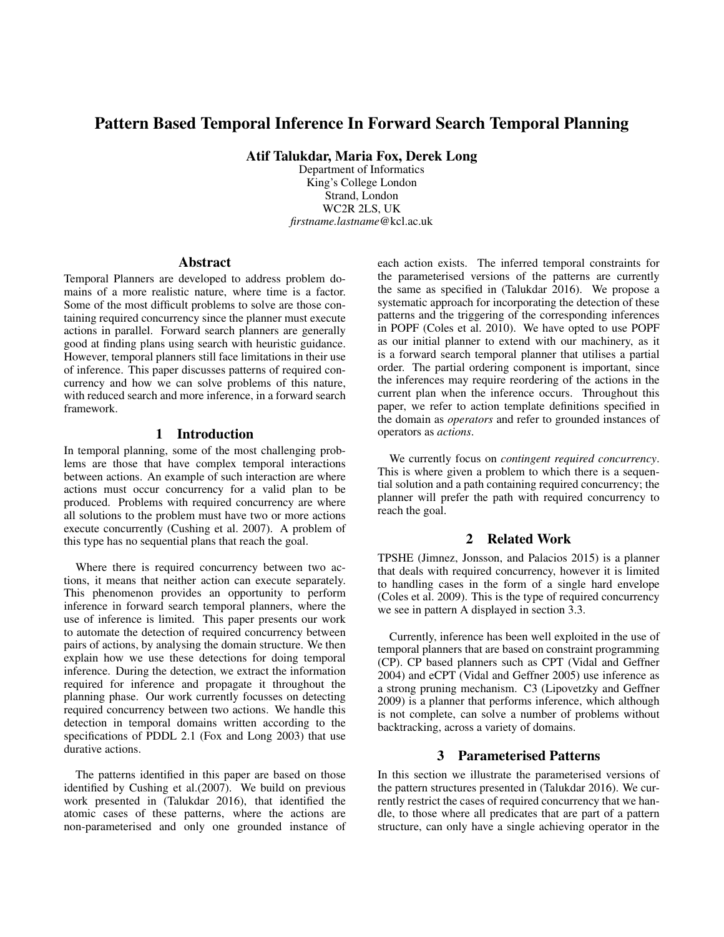# Pattern Based Temporal Inference In Forward Search Temporal Planning

Atif Talukdar, Maria Fox, Derek Long

Department of Informatics King's College London Strand, London WC2R 2LS, UK *firstname.lastname*@kcl.ac.uk

### Abstract

Temporal Planners are developed to address problem domains of a more realistic nature, where time is a factor. Some of the most difficult problems to solve are those containing required concurrency since the planner must execute actions in parallel. Forward search planners are generally good at finding plans using search with heuristic guidance. However, temporal planners still face limitations in their use of inference. This paper discusses patterns of required concurrency and how we can solve problems of this nature, with reduced search and more inference, in a forward search framework.

## 1 Introduction

In temporal planning, some of the most challenging problems are those that have complex temporal interactions between actions. An example of such interaction are where actions must occur concurrency for a valid plan to be produced. Problems with required concurrency are where all solutions to the problem must have two or more actions execute concurrently (Cushing et al. 2007). A problem of this type has no sequential plans that reach the goal.

Where there is required concurrency between two actions, it means that neither action can execute separately. This phenomenon provides an opportunity to perform inference in forward search temporal planners, where the use of inference is limited. This paper presents our work to automate the detection of required concurrency between pairs of actions, by analysing the domain structure. We then explain how we use these detections for doing temporal inference. During the detection, we extract the information required for inference and propagate it throughout the planning phase. Our work currently focusses on detecting required concurrency between two actions. We handle this detection in temporal domains written according to the specifications of PDDL 2.1 (Fox and Long 2003) that use durative actions.

The patterns identified in this paper are based on those identified by Cushing et al.(2007). We build on previous work presented in (Talukdar 2016), that identified the atomic cases of these patterns, where the actions are non-parameterised and only one grounded instance of each action exists. The inferred temporal constraints for the parameterised versions of the patterns are currently the same as specified in (Talukdar 2016). We propose a systematic approach for incorporating the detection of these patterns and the triggering of the corresponding inferences in POPF (Coles et al. 2010). We have opted to use POPF as our initial planner to extend with our machinery, as it is a forward search temporal planner that utilises a partial order. The partial ordering component is important, since the inferences may require reordering of the actions in the current plan when the inference occurs. Throughout this paper, we refer to action template definitions specified in the domain as *operators* and refer to grounded instances of operators as *actions*.

We currently focus on *contingent required concurrency*. This is where given a problem to which there is a sequential solution and a path containing required concurrency; the planner will prefer the path with required concurrency to reach the goal.

# 2 Related Work

TPSHE (Jimnez, Jonsson, and Palacios 2015) is a planner that deals with required concurrency, however it is limited to handling cases in the form of a single hard envelope (Coles et al. 2009). This is the type of required concurrency we see in pattern A displayed in section 3.3.

Currently, inference has been well exploited in the use of temporal planners that are based on constraint programming (CP). CP based planners such as CPT (Vidal and Geffner 2004) and eCPT (Vidal and Geffner 2005) use inference as a strong pruning mechanism. C3 (Lipovetzky and Geffner 2009) is a planner that performs inference, which although is not complete, can solve a number of problems without backtracking, across a variety of domains.

### 3 Parameterised Patterns

In this section we illustrate the parameterised versions of the pattern structures presented in (Talukdar 2016). We currently restrict the cases of required concurrency that we handle, to those where all predicates that are part of a pattern structure, can only have a single achieving operator in the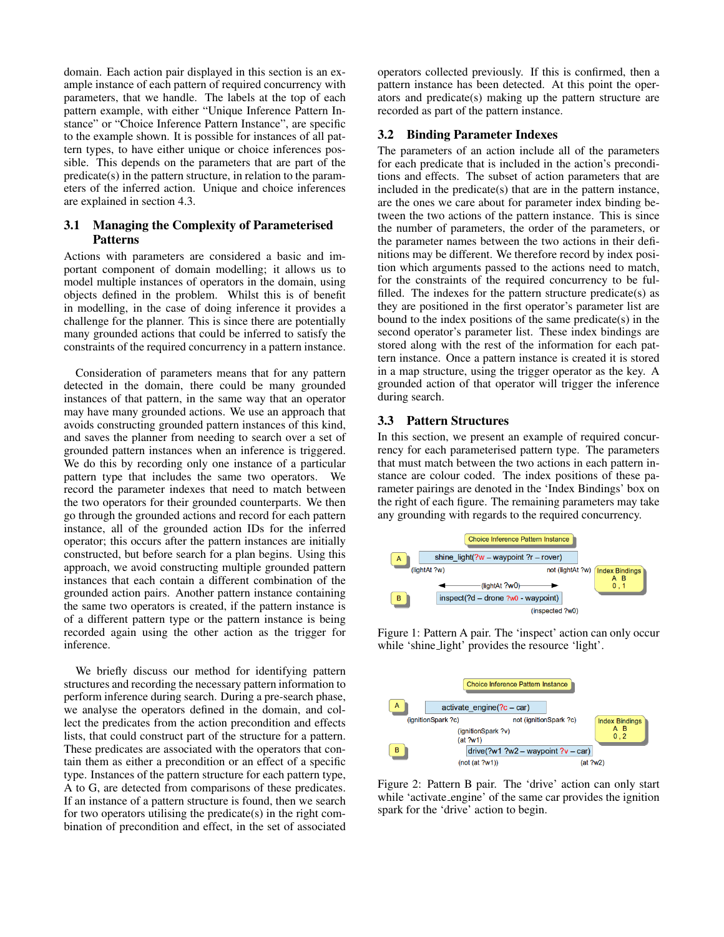domain. Each action pair displayed in this section is an example instance of each pattern of required concurrency with parameters, that we handle. The labels at the top of each pattern example, with either "Unique Inference Pattern Instance" or "Choice Inference Pattern Instance", are specific to the example shown. It is possible for instances of all pattern types, to have either unique or choice inferences possible. This depends on the parameters that are part of the predicate(s) in the pattern structure, in relation to the parameters of the inferred action. Unique and choice inferences are explained in section 4.3.

# 3.1 Managing the Complexity of Parameterised Patterns

Actions with parameters are considered a basic and important component of domain modelling; it allows us to model multiple instances of operators in the domain, using objects defined in the problem. Whilst this is of benefit in modelling, in the case of doing inference it provides a challenge for the planner. This is since there are potentially many grounded actions that could be inferred to satisfy the constraints of the required concurrency in a pattern instance.

Consideration of parameters means that for any pattern detected in the domain, there could be many grounded instances of that pattern, in the same way that an operator may have many grounded actions. We use an approach that avoids constructing grounded pattern instances of this kind, and saves the planner from needing to search over a set of grounded pattern instances when an inference is triggered. We do this by recording only one instance of a particular pattern type that includes the same two operators. We record the parameter indexes that need to match between the two operators for their grounded counterparts. We then go through the grounded actions and record for each pattern instance, all of the grounded action IDs for the inferred operator; this occurs after the pattern instances are initially constructed, but before search for a plan begins. Using this approach, we avoid constructing multiple grounded pattern instances that each contain a different combination of the grounded action pairs. Another pattern instance containing the same two operators is created, if the pattern instance is of a different pattern type or the pattern instance is being recorded again using the other action as the trigger for inference.

We briefly discuss our method for identifying pattern structures and recording the necessary pattern information to perform inference during search. During a pre-search phase, we analyse the operators defined in the domain, and collect the predicates from the action precondition and effects lists, that could construct part of the structure for a pattern. These predicates are associated with the operators that contain them as either a precondition or an effect of a specific type. Instances of the pattern structure for each pattern type, A to G, are detected from comparisons of these predicates. If an instance of a pattern structure is found, then we search for two operators utilising the predicate(s) in the right combination of precondition and effect, in the set of associated

operators collected previously. If this is confirmed, then a pattern instance has been detected. At this point the operators and predicate(s) making up the pattern structure are recorded as part of the pattern instance.

### 3.2 Binding Parameter Indexes

The parameters of an action include all of the parameters for each predicate that is included in the action's preconditions and effects. The subset of action parameters that are included in the predicate(s) that are in the pattern instance, are the ones we care about for parameter index binding between the two actions of the pattern instance. This is since the number of parameters, the order of the parameters, or the parameter names between the two actions in their definitions may be different. We therefore record by index position which arguments passed to the actions need to match, for the constraints of the required concurrency to be fulfilled. The indexes for the pattern structure predicate(s) as they are positioned in the first operator's parameter list are bound to the index positions of the same predicate(s) in the second operator's parameter list. These index bindings are stored along with the rest of the information for each pattern instance. Once a pattern instance is created it is stored in a map structure, using the trigger operator as the key. A grounded action of that operator will trigger the inference during search.

#### 3.3 Pattern Structures

In this section, we present an example of required concurrency for each parameterised pattern type. The parameters that must match between the two actions in each pattern instance are colour coded. The index positions of these parameter pairings are denoted in the 'Index Bindings' box on the right of each figure. The remaining parameters may take any grounding with regards to the required concurrency.



Figure 1: Pattern A pair. The 'inspect' action can only occur while 'shine\_light' provides the resource 'light'.



Figure 2: Pattern B pair. The 'drive' action can only start while 'activate engine' of the same car provides the ignition spark for the 'drive' action to begin.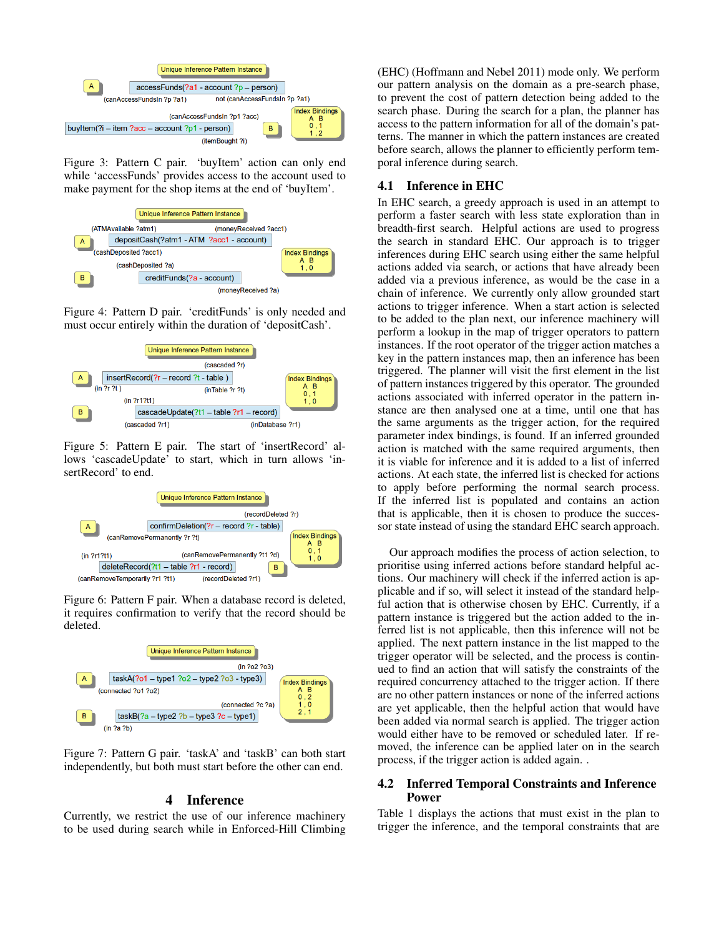

Figure 3: Pattern C pair. 'buyItem' action can only end while 'accessFunds' provides access to the account used to make payment for the shop items at the end of 'buyItem'.



Figure 4: Pattern D pair. 'creditFunds' is only needed and must occur entirely within the duration of 'depositCash'.



Figure 5: Pattern E pair. The start of 'insertRecord' allows 'cascadeUpdate' to start, which in turn allows 'insertRecord' to end.



Figure 6: Pattern F pair. When a database record is deleted, it requires confirmation to verify that the record should be deleted.



Figure 7: Pattern G pair. 'taskA' and 'taskB' can both start independently, but both must start before the other can end.

### 4 Inference

Currently, we restrict the use of our inference machinery to be used during search while in Enforced-Hill Climbing (EHC) (Hoffmann and Nebel 2011) mode only. We perform our pattern analysis on the domain as a pre-search phase, to prevent the cost of pattern detection being added to the search phase. During the search for a plan, the planner has access to the pattern information for all of the domain's patterns. The manner in which the pattern instances are created before search, allows the planner to efficiently perform temporal inference during search.

## 4.1 Inference in EHC

In EHC search, a greedy approach is used in an attempt to perform a faster search with less state exploration than in breadth-first search. Helpful actions are used to progress the search in standard EHC. Our approach is to trigger inferences during EHC search using either the same helpful actions added via search, or actions that have already been added via a previous inference, as would be the case in a chain of inference. We currently only allow grounded start actions to trigger inference. When a start action is selected to be added to the plan next, our inference machinery will perform a lookup in the map of trigger operators to pattern instances. If the root operator of the trigger action matches a key in the pattern instances map, then an inference has been triggered. The planner will visit the first element in the list of pattern instances triggered by this operator. The grounded actions associated with inferred operator in the pattern instance are then analysed one at a time, until one that has the same arguments as the trigger action, for the required parameter index bindings, is found. If an inferred grounded action is matched with the same required arguments, then it is viable for inference and it is added to a list of inferred actions. At each state, the inferred list is checked for actions to apply before performing the normal search process. If the inferred list is populated and contains an action that is applicable, then it is chosen to produce the successor state instead of using the standard EHC search approach.

Our approach modifies the process of action selection, to prioritise using inferred actions before standard helpful actions. Our machinery will check if the inferred action is applicable and if so, will select it instead of the standard helpful action that is otherwise chosen by EHC. Currently, if a pattern instance is triggered but the action added to the inferred list is not applicable, then this inference will not be applied. The next pattern instance in the list mapped to the trigger operator will be selected, and the process is continued to find an action that will satisfy the constraints of the required concurrency attached to the trigger action. If there are no other pattern instances or none of the inferred actions are yet applicable, then the helpful action that would have been added via normal search is applied. The trigger action would either have to be removed or scheduled later. If removed, the inference can be applied later on in the search process, if the trigger action is added again. .

# 4.2 Inferred Temporal Constraints and Inference Power

Table 1 displays the actions that must exist in the plan to trigger the inference, and the temporal constraints that are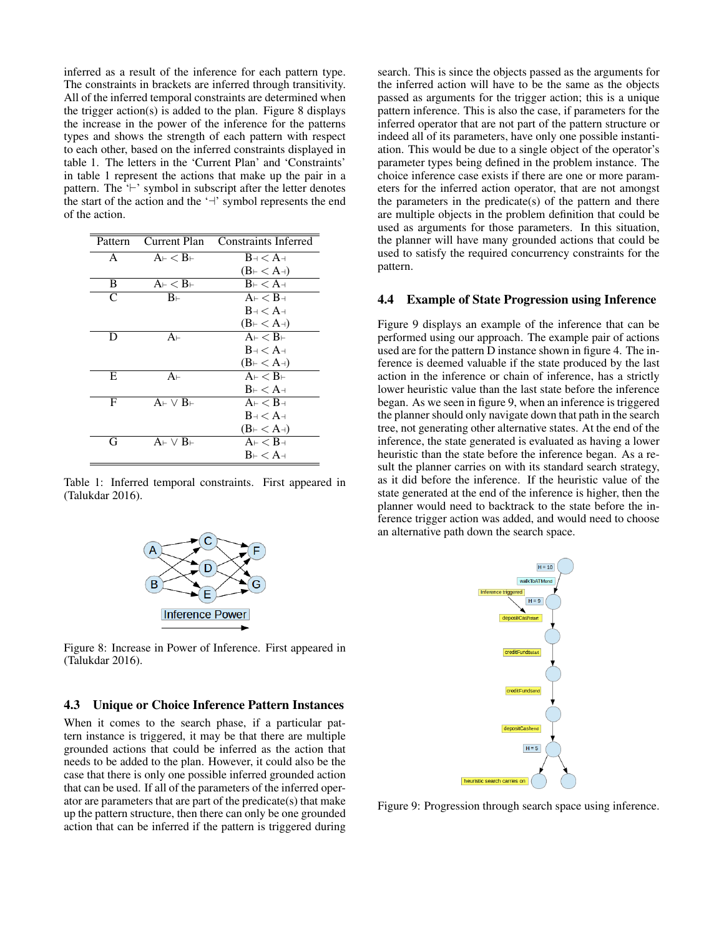inferred as a result of the inference for each pattern type. The constraints in brackets are inferred through transitivity. All of the inferred temporal constraints are determined when the trigger action(s) is added to the plan. Figure 8 displays the increase in the power of the inference for the patterns types and shows the strength of each pattern with respect to each other, based on the inferred constraints displayed in table 1. The letters in the 'Current Plan' and 'Constraints' in table 1 represent the actions that make up the pair in a pattern. The  $\vdash$  'symbol in subscript after the letter denotes the start of the action and the  $\dot{ }$  symbol represents the end of the action.

| Current Plan<br>Pattern                                                          | <b>Constraints Inferred</b>       |
|----------------------------------------------------------------------------------|-----------------------------------|
|                                                                                  |                                   |
| $A_{\vdash} < B_{\vdash}$<br>A                                                   | $B \rightarrow A \rightarrow A$   |
|                                                                                  | $(B \vdash \mathord{<} A \dashv)$ |
| $\mathrm{A}\scriptscriptstyle\vdash}\,<\mathrm{B}\scriptscriptstyle\vdash}$<br>B | $B_{\vdash} < A_{\dashv}$         |
| $\subset$<br>$B_{\vdash}$                                                        | $A_{\vdash} < B_{\dashv}$         |
|                                                                                  | $B \rightarrow A \rightarrow$     |
|                                                                                  | $(B \vdash \mathord{<} A \dashv)$ |
| $A_{\vdash}$<br>D                                                                | $A_{\vdash} < B_{\vdash}$         |
|                                                                                  | $B \rightarrow A \rightarrow$     |
|                                                                                  | $(B \vdash \mathord{<} A \dashv)$ |
| E<br>$A_{\vdash}$                                                                | $A_{\vdash} < B_{\vdash}$         |
|                                                                                  | $B \vdash \mathsf{$               |
| F<br>$A \vdash \vee B \vdash$                                                    | $A_{\vdash} < B_{\dashv}$         |
|                                                                                  | $B \rightarrow A \rightarrow$     |
|                                                                                  | $(B \vdash \mathord{<} A \dashv)$ |
| G<br>A⊢∨B⊢                                                                       | $A_{\vdash} < B_{\dashv}$         |
|                                                                                  | $B \vdash \lt A \dashv$           |

Table 1: Inferred temporal constraints. First appeared in (Talukdar 2016).



Figure 8: Increase in Power of Inference. First appeared in (Talukdar 2016).

#### 4.3 Unique or Choice Inference Pattern Instances

When it comes to the search phase, if a particular pattern instance is triggered, it may be that there are multiple grounded actions that could be inferred as the action that needs to be added to the plan. However, it could also be the case that there is only one possible inferred grounded action that can be used. If all of the parameters of the inferred operator are parameters that are part of the predicate(s) that make up the pattern structure, then there can only be one grounded action that can be inferred if the pattern is triggered during

search. This is since the objects passed as the arguments for the inferred action will have to be the same as the objects passed as arguments for the trigger action; this is a unique pattern inference. This is also the case, if parameters for the inferred operator that are not part of the pattern structure or indeed all of its parameters, have only one possible instantiation. This would be due to a single object of the operator's parameter types being defined in the problem instance. The choice inference case exists if there are one or more parameters for the inferred action operator, that are not amongst the parameters in the predicate(s) of the pattern and there are multiple objects in the problem definition that could be used as arguments for those parameters. In this situation, the planner will have many grounded actions that could be used to satisfy the required concurrency constraints for the pattern.

#### 4.4 Example of State Progression using Inference

Figure 9 displays an example of the inference that can be performed using our approach. The example pair of actions used are for the pattern D instance shown in figure 4. The inference is deemed valuable if the state produced by the last action in the inference or chain of inference, has a strictly lower heuristic value than the last state before the inference began. As we seen in figure 9, when an inference is triggered the planner should only navigate down that path in the search tree, not generating other alternative states. At the end of the inference, the state generated is evaluated as having a lower heuristic than the state before the inference began. As a result the planner carries on with its standard search strategy, as it did before the inference. If the heuristic value of the state generated at the end of the inference is higher, then the planner would need to backtrack to the state before the inference trigger action was added, and would need to choose an alternative path down the search space.



Figure 9: Progression through search space using inference.